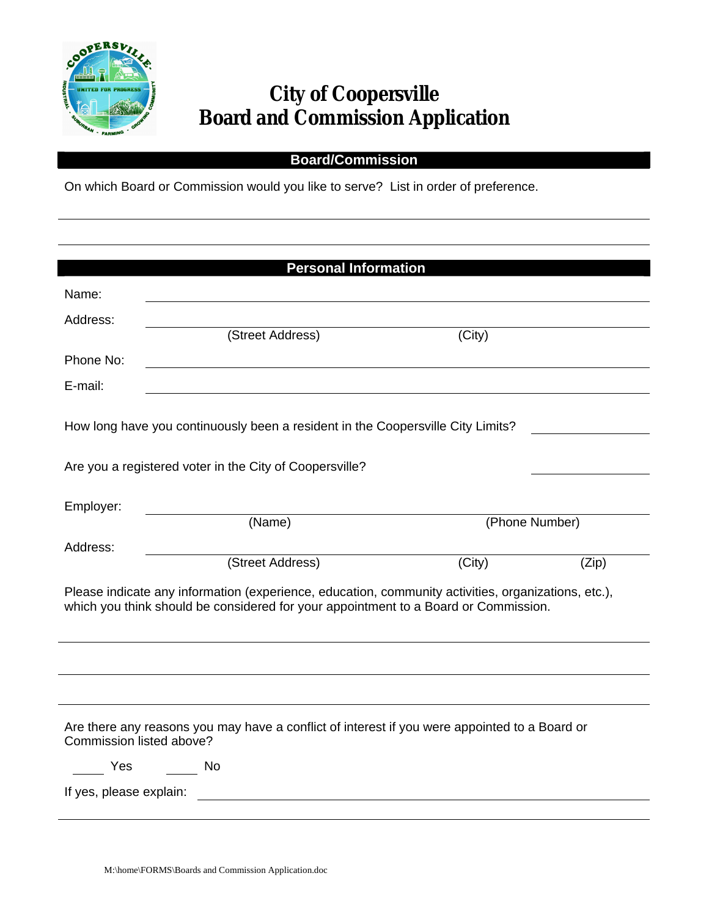

## **City of Coopersville Board and Commission Application**

## **Board/Commission**

On which Board or Commission would you like to serve? List in order of preference.

|                                                                                                                                                                                            | <b>Personal Information</b>                               |                                                                                               |       |  |
|--------------------------------------------------------------------------------------------------------------------------------------------------------------------------------------------|-----------------------------------------------------------|-----------------------------------------------------------------------------------------------|-------|--|
| Name:                                                                                                                                                                                      |                                                           |                                                                                               |       |  |
| Address:                                                                                                                                                                                   |                                                           |                                                                                               |       |  |
|                                                                                                                                                                                            | (Street Address)                                          | (City)                                                                                        |       |  |
| Phone No:                                                                                                                                                                                  | <u> 1989 - John Stein, Amerikaansk politiker († 1908)</u> |                                                                                               |       |  |
| E-mail:                                                                                                                                                                                    |                                                           |                                                                                               |       |  |
| How long have you continuously been a resident in the Coopersville City Limits?                                                                                                            |                                                           |                                                                                               |       |  |
|                                                                                                                                                                                            | Are you a registered voter in the City of Coopersville?   |                                                                                               |       |  |
| Employer:                                                                                                                                                                                  | (Name)                                                    | (Phone Number)                                                                                |       |  |
| Address:                                                                                                                                                                                   |                                                           |                                                                                               |       |  |
|                                                                                                                                                                                            | (Street Address)                                          | (City)                                                                                        | (Zip) |  |
| Please indicate any information (experience, education, community activities, organizations, etc.),<br>which you think should be considered for your appointment to a Board or Commission. |                                                           |                                                                                               |       |  |
|                                                                                                                                                                                            |                                                           |                                                                                               |       |  |
| Commission listed above?                                                                                                                                                                   |                                                           | Are there any reasons you may have a conflict of interest if you were appointed to a Board or |       |  |
| <b>Particle Service Service Service Service Service Service Service Service Service Service Service Service Serv</b>                                                                       | No.                                                       |                                                                                               |       |  |
| If yes, please explain:                                                                                                                                                                    |                                                           |                                                                                               |       |  |